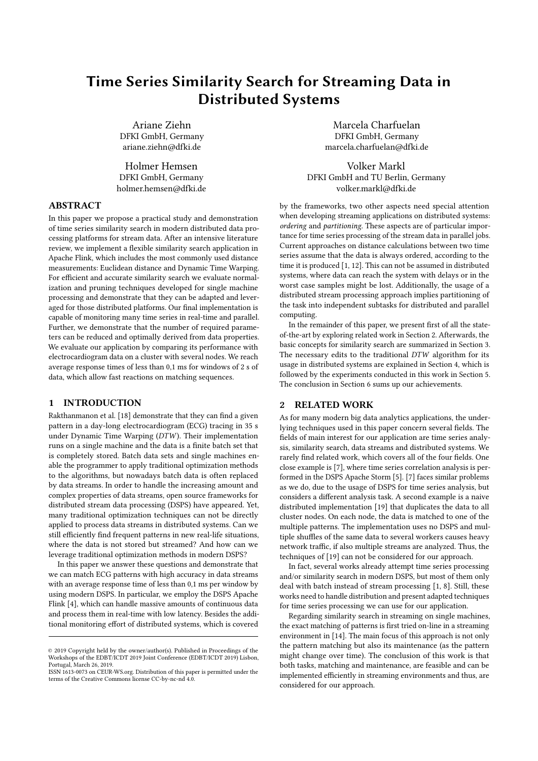# Time Series Similarity Search for Streaming Data in Distributed Systems

Ariane Ziehn DFKI GmbH, Germany ariane.ziehn@dfki.de

Holmer Hemsen DFKI GmbH, Germany holmer.hemsen@dfki.de

## ABSTRACT

In this paper we propose a practical study and demonstration of time series similarity search in modern distributed data processing platforms for stream data. After an intensive literature review, we implement a flexible similarity search application in Apache Flink, which includes the most commonly used distance measurements: Euclidean distance and Dynamic Time Warping. For efficient and accurate similarity search we evaluate normalization and pruning techniques developed for single machine processing and demonstrate that they can be adapted and leveraged for those distributed platforms. Our final implementation is capable of monitoring many time series in real-time and parallel. Further, we demonstrate that the number of required parameters can be reduced and optimally derived from data properties. We evaluate our application by comparing its performance with electrocardiogram data on a cluster with several nodes. We reach average response times of less than 0,1 ms for windows of 2 s of data, which allow fast reactions on matching sequences.

## 1 INTRODUCTION

Rakthanmanon et al. [18] demonstrate that they can find a given pattern in a day-long electrocardiogram (ECG) tracing in 35 s under Dynamic Time Warping (DTW). Their implementation runs on a single machine and the data is a finite batch set that is completely stored. Batch data sets and single machines enable the programmer to apply traditional optimization methods to the algorithms, but nowadays batch data is often replaced by data streams. In order to handle the increasing amount and complex properties of data streams, open source frameworks for distributed stream data processing (DSPS) have appeared. Yet, many traditional optimization techniques can not be directly applied to process data streams in distributed systems. Can we still efficiently find frequent patterns in new real-life situations, where the data is not stored but streamed? And how can we leverage traditional optimization methods in modern DSPS?

In this paper we answer these questions and demonstrate that we can match ECG patterns with high accuracy in data streams with an average response time of less than 0,1 ms per window by using modern DSPS. In particular, we employ the DSPS Apache Flink [4], which can handle massive amounts of continuous data and process them in real-time with low latency. Besides the additional monitoring effort of distributed systems, which is covered

Marcela Charfuelan DFKI GmbH, Germany marcela.charfuelan@dfki.de

Volker Markl DFKI GmbH and TU Berlin, Germany volker.markl@dfki.de

by the frameworks, two other aspects need special attention when developing streaming applications on distributed systems: ordering and partitioning. These aspects are of particular importance for time series processing of the stream data in parallel jobs. Current approaches on distance calculations between two time series assume that the data is always ordered, according to the time it is produced [1, 12]. This can not be assumed in distributed systems, where data can reach the system with delays or in the worst case samples might be lost. Additionally, the usage of a distributed stream processing approach implies partitioning of the task into independent subtasks for distributed and parallel computing.

In the remainder of this paper, we present first of all the stateof-the-art by exploring related work in Section 2. Afterwards, the basic concepts for similarity search are summarized in Section 3. The necessary edits to the traditional DTW algorithm for its usage in distributed systems are explained in Section 4, which is followed by the experiments conducted in this work in Section 5. The conclusion in Section 6 sums up our achievements.

## 2 RELATED WORK

As for many modern big data analytics applications, the underlying techniques used in this paper concern several fields. The fields of main interest for our application are time series analysis, similarity search, data streams and distributed systems. We rarely find related work, which covers all of the four fields. One close example is [7], where time series correlation analysis is performed in the DSPS Apache Storm [5]. [7] faces similar problems as we do, due to the usage of DSPS for time series analysis, but considers a different analysis task. A second example is a naive distributed implementation [19] that duplicates the data to all cluster nodes. On each node, the data is matched to one of the multiple patterns. The implementation uses no DSPS and multiple shuffles of the same data to several workers causes heavy network traffic, if also multiple streams are analyzed. Thus, the techniques of [19] can not be considered for our approach.

In fact, several works already attempt time series processing and/or similarity search in modern DSPS, but most of them only deal with batch instead of stream processing [1, 8]. Still, these works need to handle distribution and present adapted techniques for time series processing we can use for our application.

Regarding similarity search in streaming on single machines, the exact matching of patterns is first tried on-line in a streaming environment in [14]. The main focus of this approach is not only the pattern matching but also its maintenance (as the pattern might change over time). The conclusion of this work is that both tasks, matching and maintenance, are feasible and can be implemented efficiently in streaming environments and thus, are considered for our approach.

<sup>©</sup> 2019 Copyright held by the owner/author(s). Published in Proceedings of the Workshops of the EDBT/ICDT 2019 Joint Conference (EDBT/ICDT 2019) Lisbon, Portugal, March 26, 2019.

ISSN 1613-0073 on CEUR-WS.org. Distribution of this paper is permitted under the terms of the Creative Commons license CC-by-nc-nd 4.0.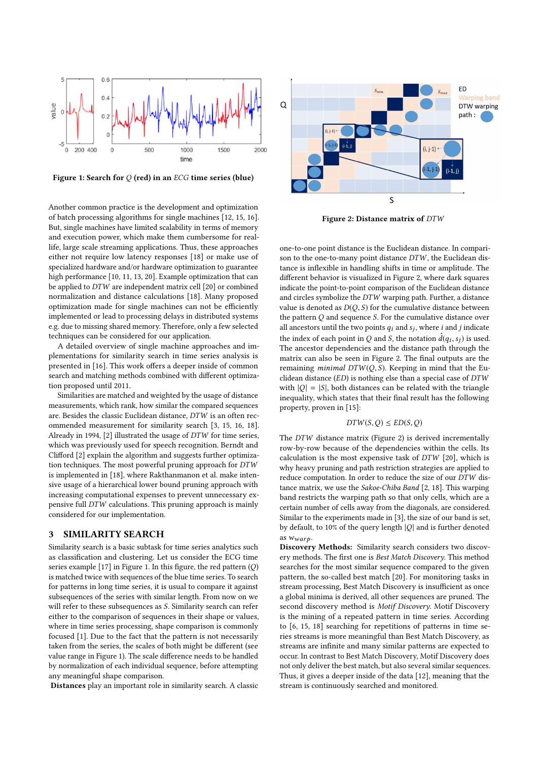

Figure 1: Search for  $Q$  (red) in an ECG time series (blue)

Another common practice is the development and optimization of batch processing algorithms for single machines [12, 15, 16]. But, single machines have limited scalability in terms of memory and execution power, which make them cumbersome for reallife, large scale streaming applications. Thus, these approaches either not require low latency responses [18] or make use of specialized hardware and/or hardware optimization to guarantee high performance [10, 11, 13, 20]. Example optimization that can be applied to DTW are independent matrix cell [20] or combined normalization and distance calculations [18]. Many proposed optimization made for single machines can not be efficiently implemented or lead to processing delays in distributed systems e.g. due to missing shared memory. Therefore, only a few selected techniques can be considered for our application.

A detailed overview of single machine approaches and implementations for similarity search in time series analysis is presented in [16]. This work offers a deeper inside of common search and matching methods combined with different optimization proposed until 2011.

Similarities are matched and weighted by the usage of distance measurements, which rank, how similar the compared sequences are. Besides the classic Euclidean distance, DTW is an often recommended measurement for similarity search [3, 15, 16, 18]. Already in 1994, [2] illustrated the usage of DTW for time series, which was previously used for speech recognition. Berndt and Clifford [2] explain the algorithm and suggests further optimization techniques. The most powerful pruning approach for DTW is implemented in [18], where Rakthanmanon et al. make intensive usage of a hierarchical lower bound pruning approach with increasing computational expenses to prevent unnecessary expensive full DTW calculations. This pruning approach is mainly considered for our implementation.

#### 3 SIMILARITY SEARCH

Similarity search is a basic subtask for time series analytics such as classification and clustering. Let us consider the ECG time series example [17] in Figure 1. In this figure, the red pattern (Q) is matched twice with sequences of the blue time series. To search for patterns in long time series, it is usual to compare it against subsequences of the series with similar length. From now on we will refer to these subsequences as S. Similarity search can refer either to the comparison of sequences in their shape or values, where in time series processing, shape comparison is commonly focused [1]. Due to the fact that the pattern is not necessarily taken from the series, the scales of both might be different (see value range in Figure 1). The scale difference needs to be handled by normalization of each individual sequence, before attempting any meaningful shape comparison.

Distances play an important role in similarity search. A classic



Figure 2: Distance matrix of DTW

one-to-one point distance is the Euclidean distance. In comparison to the one-to-many point distance DTW, the Euclidean distance is inflexible in handling shifts in time or amplitude. The different behavior is visualized in Figure 2, where dark squares indicate the point-to-point comparison of the Euclidean distance and circles symbolize the DTW warping path. Further, a distance value is denoted as  $D(Q, S)$  for the cumulative distance between the pattern  $Q$  and sequence  $S$ . For the cumulative distance over all ancestors until the two points  $q_i$  and  $s_j$ , where i and j indicate the index of each point in Q and S, the notation  $\hat{d}(q_i, s_j)$  is used.<br>The appeartor dependencies and the distance path through the The ancestor dependencies and the distance path through the matrix can also be seen in Figure 2. The final outputs are the remaining *minimal*  $DTW(Q, S)$ . Keeping in mind that the Euclidean distance  $(ED)$  is nothing else than a special case of  $DTW$ with  $|Q| = |S|$ , both distances can be related with the triangle inequality, which states that their final result has the following property, proven in [15]:

#### $DTW(S, O) \leq ED(S, O)$

The DTW distance matrix (Figure 2) is derived incrementally row-by-row because of the dependencies within the cells. Its calculation is the most expensive task of DTW [20], which is why heavy pruning and path restriction strategies are applied to reduce computation. In order to reduce the size of our DTW distance matrix, we use the Sakoe-Chiba Band [2, 18]. This warping band restricts the warping path so that only cells, which are a certain number of cells away from the diagonals, are considered. Similar to the experiments made in [3], the size of our band is set, by default, to 10% of the query length  $|Q|$  and is further denoted as  $w_{war}$ .

Discovery Methods: Similarity search considers two discovery methods. The first one is Best Match Discovery. This method searches for the most similar sequence compared to the given pattern, the so-called best match [20]. For monitoring tasks in stream processing, Best Match Discovery is insufficient as once a global minima is derived, all other sequences are pruned. The second discovery method is Motif Discovery. Motif Discovery is the mining of a repeated pattern in time series. According to [6, 15, 18] searching for repetitions of patterns in time series streams is more meaningful than Best Match Discovery, as streams are infinite and many similar patterns are expected to occur. In contrast to Best Match Discovery, Motif Discovery does not only deliver the best match, but also several similar sequences. Thus, it gives a deeper inside of the data [12], meaning that the stream is continuously searched and monitored.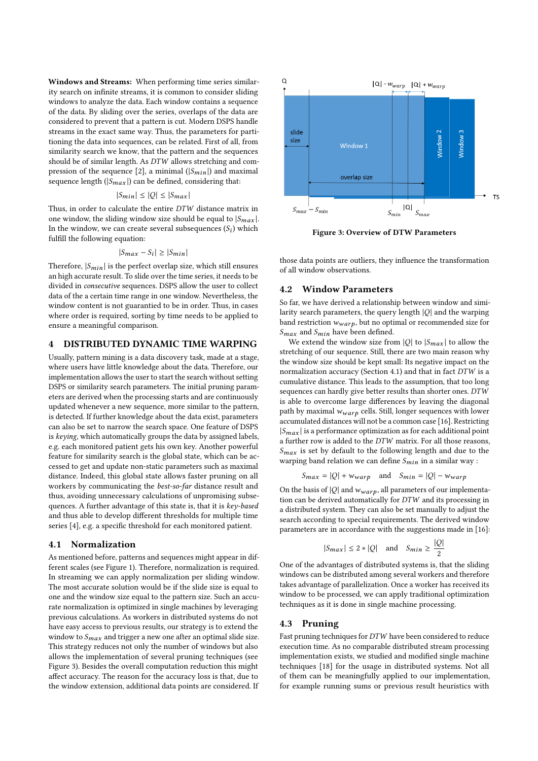Windows and Streams: When performing time series similarity search on infinite streams, it is common to consider sliding windows to analyze the data. Each window contains a sequence of the data. By sliding over the series, overlaps of the data are considered to prevent that a pattern is cut. Modern DSPS handle streams in the exact same way. Thus, the parameters for partitioning the data into sequences, can be related. First of all, from similarity search we know, that the pattern and the sequences should be of similar length. As DTW allows stretching and compression of the sequence [2], a minimal  $(|S_{min}|)$  and maximal sequence length  $(|S_{max}|)$  can be defined, considering that:

$$
|S_{min}| \le |Q| \le |S_{max}|
$$

Thus, in order to calculate the entire DTW distance matrix in one window, the sliding window size should be equal to  $|S_{max}|$ . In the window, we can create several subsequences  $(S_i)$  which<br>fulfill the following equation: fulfill the following equation:

$$
|S_{max} - S_i| \ge |S_{min}|
$$

Therefore,  $|S_{min}|$  is the perfect overlap size, which still ensures an high accurate result. To slide over the time series, it needs to be divided in consecutive sequences. DSPS allow the user to collect data of the a certain time range in one window. Nevertheless, the window content is not guarantied to be in order. Thus, in cases where order is required, sorting by time needs to be applied to ensure a meaningful comparison.

#### 4 DISTRIBUTED DYNAMIC TIME WARPING

Usually, pattern mining is a data discovery task, made at a stage, where users have little knowledge about the data. Therefore, our implementation allows the user to start the search without setting DSPS or similarity search parameters. The initial pruning parameters are derived when the processing starts and are continuously updated whenever a new sequence, more similar to the pattern, is detected. If further knowledge about the data exist, parameters can also be set to narrow the search space. One feature of DSPS is keying, which automatically groups the data by assigned labels, e.g. each monitored patient gets his own key. Another powerful feature for similarity search is the global state, which can be accessed to get and update non-static parameters such as maximal distance. Indeed, this global state allows faster pruning on all workers by communicating the best-so-far distance result and thus, avoiding unnecessary calculations of unpromising subsequences. A further advantage of this state is, that it is key-based and thus able to develop different thresholds for multiple time series [4], e.g. a specific threshold for each monitored patient.

#### 4.1 Normalization

As mentioned before, patterns and sequences might appear in different scales (see Figure 1). Therefore, normalization is required. In streaming we can apply normalization per sliding window. The most accurate solution would be if the slide size is equal to one and the window size equal to the pattern size. Such an accurate normalization is optimized in single machines by leveraging previous calculations. As workers in distributed systems do not have easy access to previous results, our strategy is to extend the window to  $S_{max}$  and trigger a new one after an optimal slide size. This strategy reduces not only the number of windows but also allows the implementation of several pruning techniques (see Figure 3). Besides the overall computation reduction this might affect accuracy. The reason for the accuracy loss is that, due to the window extension, additional data points are considered. If



Figure 3: Overview of DTW Parameters

those data points are outliers, they influence the transformation of all window observations.

#### 4.2 Window Parameters

So far, we have derived a relationship between window and similarity search parameters, the query length  $|Q|$  and the warping band restriction  $w_{warp}$ , but no optimal or recommended size for  $S_{max}$  and  $S_{min}$  have been defined.

We extend the window size from  $|Q|$  to  $|S_{max}|$  to allow the stretching of our sequence. Still, there are two main reason why the window size should be kept small: Its negative impact on the normalization accuracy (Section 4.1) and that in fact DTW is a cumulative distance. This leads to the assumption, that too long sequences can hardly give better results than shorter ones.  $DTW$ is able to overcome large differences by leaving the diagonal path by maximal  $w_{warp}$  cells. Still, longer sequences with lower accumulated distances will not be a common case [16]. Restricting  $|S_{max}|$  is a performance optimization as for each additional point a further row is added to the DTW matrix. For all those reasons,  $S_{max}$  is set by default to the following length and due to the warping band relation we can define  $S_{min}$  in a similar way :

$$
S_{max} = |Q| + w_{warp} \quad \text{and} \quad S_{min} = |Q| - w_{warp}
$$

On the basis of  $|Q|$  and  $w_{warp}$  , all parameters of our implementation can be derived automatically for DTW and its processing in a distributed system. They can also be set manually to adjust the search according to special requirements. The derived window parameters are in accordance with the suggestions made in [16]:

$$
|S_{max}| \le 2 * |Q| \quad \text{and} \quad S_{min} \ge \frac{|Q|}{2}
$$

One of the advantages of distributed systems is, that the sliding windows can be distributed among several workers and therefore takes advantage of parallelization. Once a worker has received its window to be processed, we can apply traditional optimization techniques as it is done in single machine processing.

#### 4.3 Pruning

Fast pruning techniques for DTW have been considered to reduce execution time. As no comparable distributed stream processing implementation exists, we studied and modified single machine techniques [18] for the usage in distributed systems. Not all of them can be meaningfully applied to our implementation, for example running sums or previous result heuristics with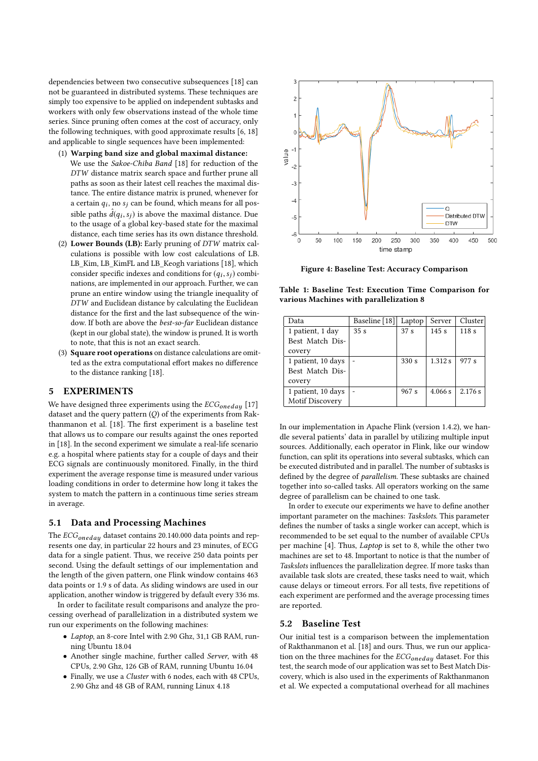dependencies between two consecutive subsequences [18] can not be guaranteed in distributed systems. These techniques are simply too expensive to be applied on independent subtasks and workers with only few observations instead of the whole time series. Since pruning often comes at the cost of accuracy, only the following techniques, with good approximate results [6, 18] and applicable to single sequences have been implemented:

- (1) Warping band size and global maximal distance: We use the Sakoe-Chiba Band [18] for reduction of the DTW distance matrix search space and further prune all paths as soon as their latest cell reaches the maximal distance. The entire distance matrix is pruned, whenever for a certain  $q_i$ , no  $s_j$  can be found, which means for all pos-<br>sikke as the found between the meaning leightness. Described sible paths  $\hat{d}(q_i, s_j)$  is above the maximal distance. Due<br>to the usage of a global key-based state for the maximal to the usage of a global key-based state for the maximal distance, each time series has its own distance threshold.
- (2) Lower Bounds (LB): Early pruning of DTW matrix calculations is possible with low cost calculations of LB. LB\_Kim, LB\_KimFL and LB\_Keogh variations [18], which consider specific indexes and conditions for  $(q_i, s_j)$  combi-<br>nations, are implemented in our approach. Further, we can nations, are implemented in our approach. Further, we can prune an entire window using the triangle inequality of DTW and Euclidean distance by calculating the Euclidean distance for the first and the last subsequence of the window. If both are above the best-so-far Euclidean distance (kept in our global state), the window is pruned. It is worth to note, that this is not an exact search.
- (3) Square root operations on distance calculations are omitted as the extra computational effort makes no difference to the distance ranking [18].

## 5 EXPERIMENTS

We have designed three experiments using the  $ECG_{onedau}$  [17] dataset and the query pattern (Q) of the experiments from Rakthanmanon et al. [18]. The first experiment is a baseline test that allows us to compare our results against the ones reported in [18]. In the second experiment we simulate a real-life scenario e.g. a hospital where patients stay for a couple of days and their ECG signals are continuously monitored. Finally, in the third experiment the average response time is measured under various loading conditions in order to determine how long it takes the system to match the pattern in a continuous time series stream in average.

#### 5.1 Data and Processing Machines

The  $ECG_{oneday}$  dataset contains 20.140.000 data points and represents one day, in particular 22 hours and 23 minutes, of ECG data for a single patient. Thus, we receive 250 data points per second. Using the default settings of our implementation and the length of the given pattern, one Flink window contains 463 data points or 1.9 s of data. As sliding windows are used in our application, another window is triggered by default every 336 ms.

In order to facilitate result comparisons and analyze the processing overhead of parallelization in a distributed system we run our experiments on the following machines:

- Laptop, an 8-core Intel with 2.90 Ghz, 31,1 GB RAM, running Ubuntu 18.04
- Another single machine, further called Server, with 48 CPUs, 2.90 Ghz, 126 GB of RAM, running Ubuntu 16.04
- Finally, we use a Cluster with 6 nodes, each with 48 CPUs, 2.90 Ghz and 48 GB of RAM, running Linux 4.18



Figure 4: Baseline Test: Accuracy Comparison

Table 1: Baseline Test: Execution Time Comparison for various Machines with parallelization 8

| Data               | Baseline [18]   | Laptop          | Server  | Cluster |
|--------------------|-----------------|-----------------|---------|---------|
| 1 patient, 1 day   | 35 <sub>s</sub> | 37 <sub>s</sub> | 145s    | 118s    |
| Best Match Dis-    |                 |                 |         |         |
| covery             |                 |                 |         |         |
| 1 patient, 10 days |                 | 330 s           | 1.312 s | 977 s   |
| Best Match Dis-    |                 |                 |         |         |
| covery             |                 |                 |         |         |
| 1 patient, 10 days |                 | 967 s           | 4.066 s | 2.176 s |
| Motif Discovery    |                 |                 |         |         |

In our implementation in Apache Flink (version 1.4.2), we handle several patients' data in parallel by utilizing multiple input sources. Additionally, each operator in Flink, like our window function, can split its operations into several subtasks, which can be executed distributed and in parallel. The number of subtasks is defined by the degree of parallelism. These subtasks are chained together into so-called tasks. All operators working on the same degree of parallelism can be chained to one task.

In order to execute our experiments we have to define another important parameter on the machines: Taskslots. This parameter defines the number of tasks a single worker can accept, which is recommended to be set equal to the number of available CPUs per machine [4]. Thus, Laptop is set to 8, while the other two machines are set to 48. Important to notice is that the number of Taskslots influences the parallelization degree. If more tasks than available task slots are created, these tasks need to wait, which cause delays or timeout errors. For all tests, five repetitions of each experiment are performed and the average processing times are reported.

#### 5.2 Baseline Test

Our initial test is a comparison between the implementation of Rakthanmanon et al. [18] and ours. Thus, we run our application on the three machines for the  $ECG_{oneday}$  dataset. For this test, the search mode of our application was set to Best Match Discovery, which is also used in the experiments of Rakthanmanon et al. We expected a computational overhead for all machines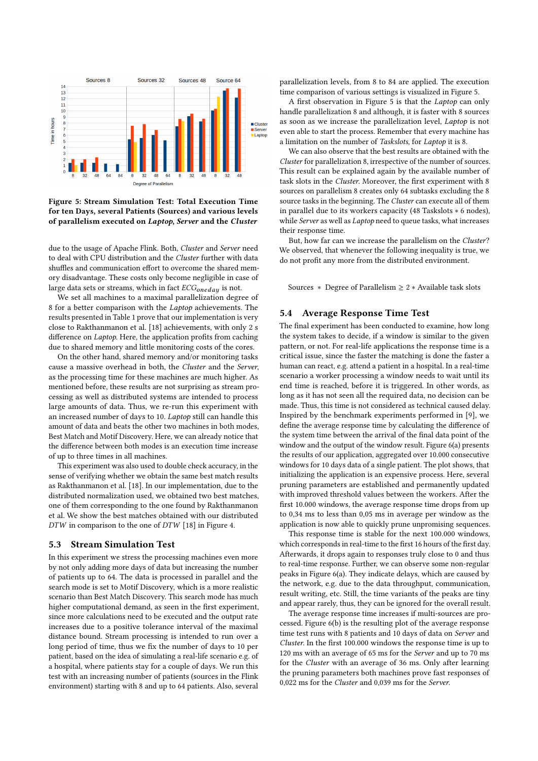

Figure 5: Stream Simulation Test: Total Execution Time for ten Days, several Patients (Sources) and various levels of parallelism executed on Laptop, Server and the Cluster

due to the usage of Apache Flink. Both, Cluster and Server need to deal with CPU distribution and the Cluster further with data shuffles and communication effort to overcome the shared memory disadvantage. These costs only become negligible in case of large data sets or streams, which in fact  $ECG_{oneday}$  is not.

We set all machines to a maximal parallelization degree of 8 for a better comparison with the Laptop achievements. The results presented in Table 1 prove that our implementation is very close to Rakthanmanon et al. [18] achievements, with only 2 s difference on Laptop. Here, the application profits from caching due to shared memory and little monitoring costs of the cores.

On the other hand, shared memory and/or monitoring tasks cause a massive overhead in both, the Cluster and the Server, as the processing time for these machines are much higher. As mentioned before, these results are not surprising as stream processing as well as distributed systems are intended to process large amounts of data. Thus, we re-run this experiment with an increased number of days to 10. Laptop still can handle this amount of data and beats the other two machines in both modes, Best Match and Motif Discovery. Here, we can already notice that the difference between both modes is an execution time increase of up to three times in all machines.

This experiment was also used to double check accuracy, in the sense of verifying whether we obtain the same best match results as Rakthanmanon et al. [18]. In our implementation, due to the distributed normalization used, we obtained two best matches, one of them corresponding to the one found by Rakthanmanon et al. We show the best matches obtained with our distributed DTW in comparison to the one of DTW [18] in Figure 4.

#### 5.3 Stream Simulation Test

In this experiment we stress the processing machines even more by not only adding more days of data but increasing the number of patients up to 64. The data is processed in parallel and the search mode is set to Motif Discovery, which is a more realistic scenario than Best Match Discovery. This search mode has much higher computational demand, as seen in the first experiment, since more calculations need to be executed and the output rate increases due to a positive tolerance interval of the maximal distance bound. Stream processing is intended to run over a long period of time, thus we fix the number of days to 10 per patient, based on the idea of simulating a real-life scenario e.g. of a hospital, where patients stay for a couple of days. We run this test with an increasing number of patients (sources in the Flink environment) starting with 8 and up to 64 patients. Also, several

parallelization levels, from 8 to 84 are applied. The execution time comparison of various settings is visualized in Figure 5.

A first observation in Figure 5 is that the Laptop can only handle parallelization 8 and although, it is faster with 8 sources as soon as we increase the parallelization level, Laptop is not even able to start the process. Remember that every machine has a limitation on the number of Taskslots, for Laptop it is 8.

We can also observe that the best results are obtained with the Cluster for parallelization 8, irrespective of the number of sources. This result can be explained again by the available number of task slots in the Cluster. Moreover, the first experiment with 8 sources on parallelism 8 creates only 64 subtasks excluding the 8 source tasks in the beginning. The Cluster can execute all of them in parallel due to its workers capacity (48 Taskslots ∗ 6 nodes), while Server as well as Laptop need to queue tasks, what increases their response time.

But, how far can we increase the parallelism on the Cluster? We observed, that whenever the following inequality is true, we do not profit any more from the distributed environment.

Sources ∗ Degree of Parallelism ≥ 2 ∗ Available task slots

#### 5.4 Average Response Time Test

The final experiment has been conducted to examine, how long the system takes to decide, if a window is similar to the given pattern, or not. For real-life applications the response time is a critical issue, since the faster the matching is done the faster a human can react, e.g. attend a patient in a hospital. In a real-time scenario a worker processing a window needs to wait until its end time is reached, before it is triggered. In other words, as long as it has not seen all the required data, no decision can be made. Thus, this time is not considered as technical caused delay. Inspired by the benchmark experiments performed in [9], we define the average response time by calculating the difference of the system time between the arrival of the final data point of the window and the output of the window result. Figure 6(a) presents the results of our application, aggregated over 10.000 consecutive windows for 10 days data of a single patient. The plot shows, that initializing the application is an expensive process. Here, several pruning parameters are established and permanently updated with improved threshold values between the workers. After the first 10.000 windows, the average response time drops from up to 0,34 ms to less than 0,05 ms in average per window as the application is now able to quickly prune unpromising sequences.

This response time is stable for the next 100.000 windows, which corresponds in real-time to the first 16 hours of the first day. Afterwards, it drops again to responses truly close to 0 and thus to real-time response. Further, we can observe some non-regular peaks in Figure 6(a). They indicate delays, which are caused by the network, e.g. due to the data throughput, communication, result writing, etc. Still, the time variants of the peaks are tiny and appear rarely, thus, they can be ignored for the overall result.

The average response time increases if multi-sources are processed. Figure 6(b) is the resulting plot of the average response time test runs with 8 patients and 10 days of data on Server and Cluster. In the first 100.000 windows the response time is up to 120 ms with an average of 65 ms for the Server and up to 70 ms for the Cluster with an average of 36 ms. Only after learning the pruning parameters both machines prove fast responses of 0,022 ms for the Cluster and 0,039 ms for the Server.